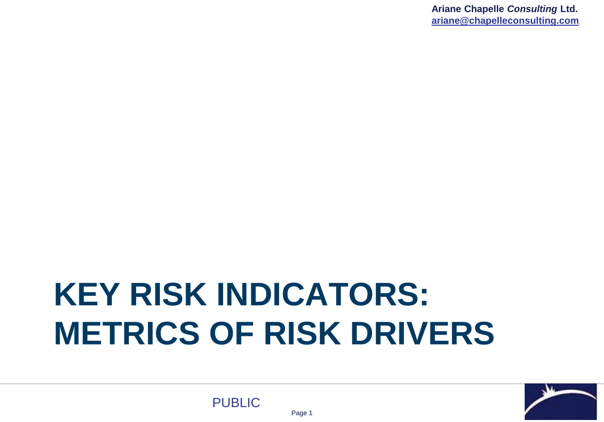# **KEY RISK INDICATORS: METRICS OF RISK DRIVERS**

Page 1



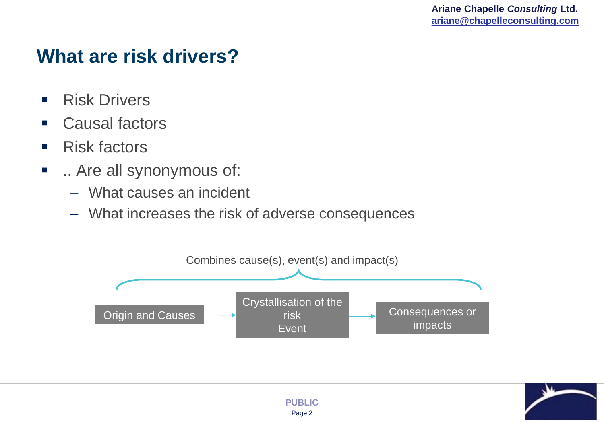# **What are risk drivers?**

- Risk Drivers
- Causal factors
- Risk factors
- **E** .. Are all synonymous of:
	- What causes an incident
	- What increases the risk of adverse consequences



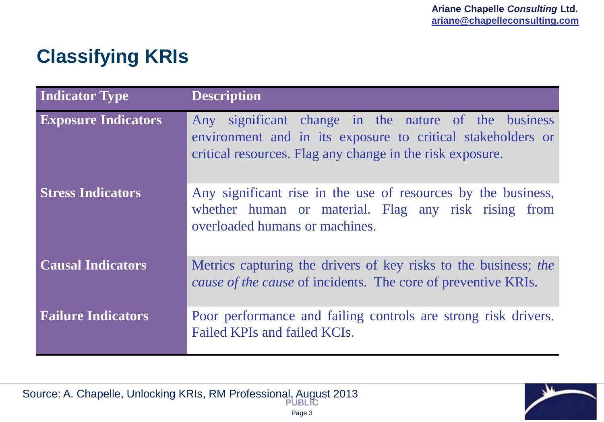# **Classifying KRIs**

| <b>Indicator Type</b>      | <b>Description</b>                                                                                                                                                               |
|----------------------------|----------------------------------------------------------------------------------------------------------------------------------------------------------------------------------|
| <b>Exposure Indicators</b> | Any significant change in the nature of the business<br>environment and in its exposure to critical stakeholders or<br>critical resources. Flag any change in the risk exposure. |
| <b>Stress Indicators</b>   | Any significant rise in the use of resources by the business,<br>whether human or material. Flag any risk rising from<br>overloaded humans or machines.                          |
| <b>Causal Indicators</b>   | Metrics capturing the drivers of key risks to the business; the<br><i>cause of the cause</i> of incidents. The core of preventive KRIs.                                          |
| <b>Failure Indicators</b>  | Poor performance and failing controls are strong risk drivers.<br>Failed KPIs and failed KCIs.                                                                                   |

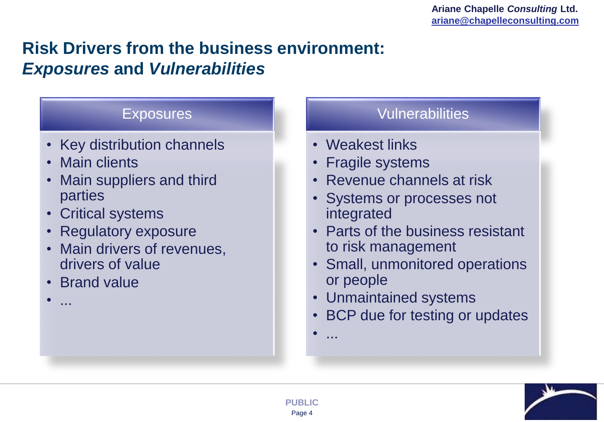#### **Risk Drivers from the business environment:**  *Exposures* **and** *Vulnerabilities*

#### Exposures

- Key distribution channels
- Main clients
- Main suppliers and third parties
- Critical systems
- Regulatory exposure
- Main drivers of revenues, drivers of value
- Brand value

• ...

#### Vulnerabilities

- Weakest links
- Fragile systems
- Revenue channels at risk
- Systems or processes not integrated
- Parts of the business resistant to risk management
- Small, unmonitored operations or people
- Unmaintained systems
- BCP due for testing or updates
- ...

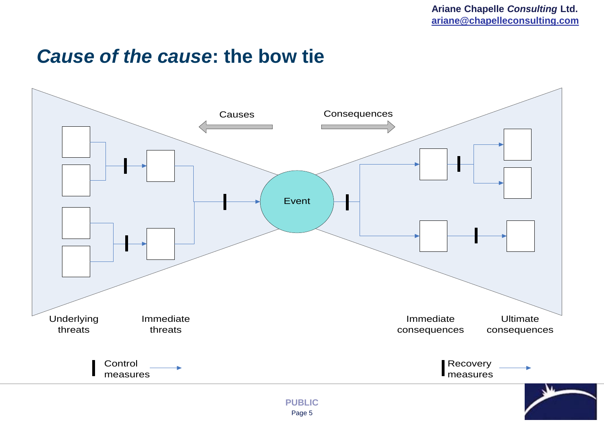#### *Cause of the cause***: the bow tie**

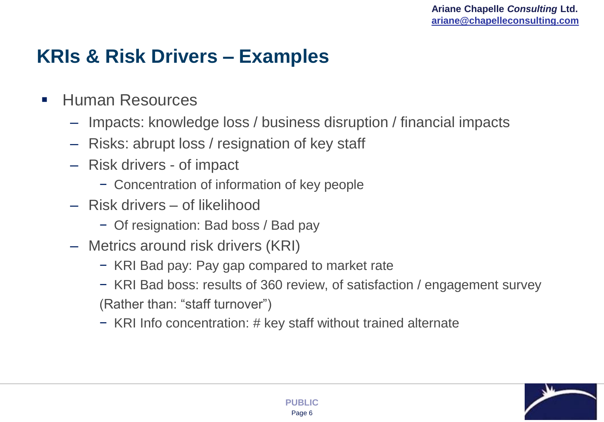# **KRIs & Risk Drivers – Examples**

- Human Resources
	- Impacts: knowledge loss / business disruption / financial impacts
	- Risks: abrupt loss / resignation of key staff
	- Risk drivers of impact
		- − Concentration of information of key people
	- Risk drivers of likelihood
		- − Of resignation: Bad boss / Bad pay
	- Metrics around risk drivers (KRI)
		- − KRI Bad pay: Pay gap compared to market rate
		- − KRI Bad boss: results of 360 review, of satisfaction / engagement survey (Rather than: "staff turnover")
		- − KRI Info concentration: # key staff without trained alternate

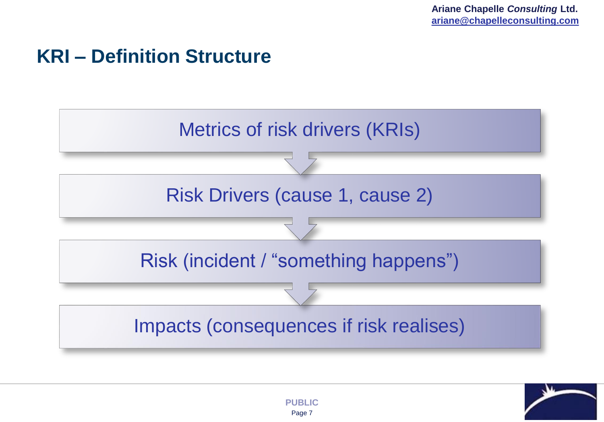# **KRI – Definition Structure**





Page 7 **PUBLIC**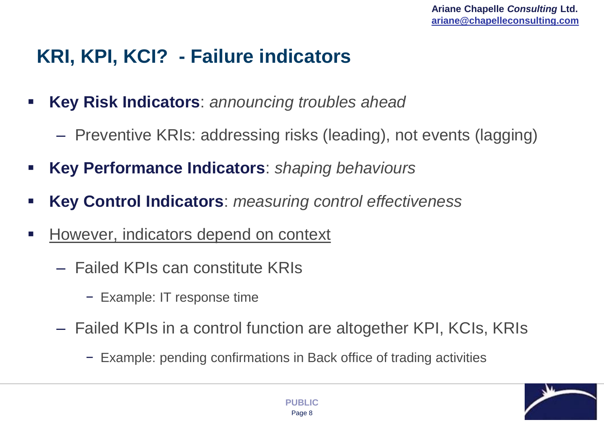# **KRI, KPI, KCI? - Failure indicators**

- **Key Risk Indicators**: *announcing troubles ahead*
	- Preventive KRIs: addressing risks (leading), not events (lagging)
- **Key Performance Indicators**: *shaping behaviours*
- **Key Control Indicators**: *measuring control effectiveness*
- However, indicators depend on context
	- Failed KPIs can constitute KRIs
		- − Example: IT response time
	- Failed KPIs in a control function are altogether KPI, KCIs, KRIs
		- − Example: pending confirmations in Back office of trading activities

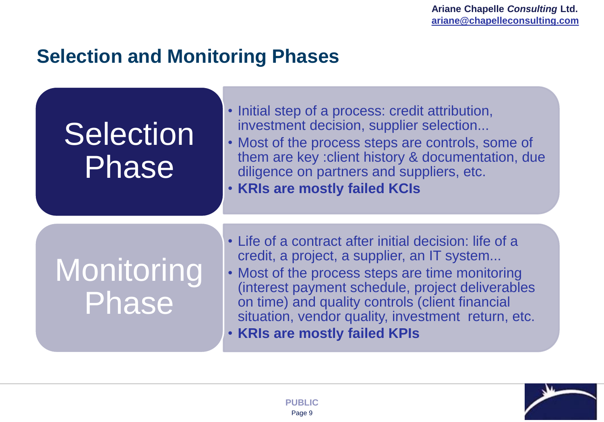# **Selection and Monitoring Phases**

| <b>Selection</b><br>Phase | • Initial step of a process: credit attribution,<br>investment decision, supplier selection<br>• Most of the process steps are controls, some of<br>them are key : client history & documentation, due<br>diligence on partners and suppliers, etc.<br>. KRIs are mostly failed KCIs                                  |
|---------------------------|-----------------------------------------------------------------------------------------------------------------------------------------------------------------------------------------------------------------------------------------------------------------------------------------------------------------------|
| Monitoring<br>Phase       | • Life of a contract after initial decision: life of a<br>credit, a project, a supplier, an IT system<br>• Most of the process steps are time monitoring<br>(interest payment schedule, project deliverables<br>on time) and quality controls (client financial<br>situation, vendor quality, investment return, etc. |

• **KRIs are mostly failed KPIs**

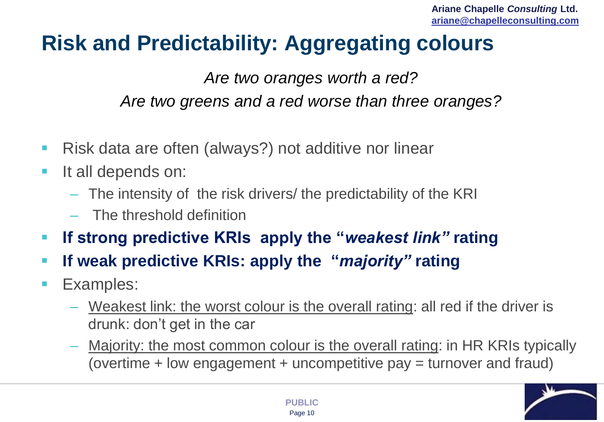# **Risk and Predictability: Aggregating colours**

*Are two oranges worth a red? Are two greens and a red worse than three oranges?* 

- Risk data are often (always?) not additive nor linear
- **It all depends on:** 
	- The intensity of the risk drivers/ the predictability of the KRI
	- The threshold definition
- **If strong predictive KRIs apply the "***weakest link"* **rating**
- **If weak predictive KRIs: apply the "***majority"* **rating**
- **Examples:** 
	- Weakest link: the worst colour is the overall rating: all red if the driver is drunk: don't get in the car
	- Majority: the most common colour is the overall rating: in HR KRIs typically (overtime + low engagement + uncompetitive pay = turnover and fraud)

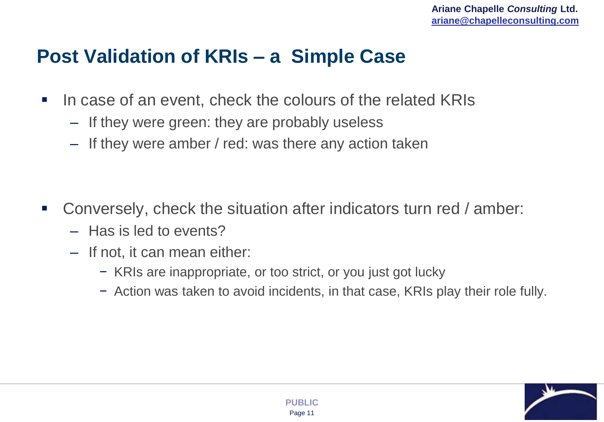# **Post Validation of KRIs – a Simple Case**

- In case of an event, check the colours of the related KRIs
	- If they were green: they are probably useless
	- If they were amber / red: was there any action taken

- Conversely, check the situation after indicators turn red / amber:
	- Has is led to events?
	- If not, it can mean either:
		- − KRIs are inappropriate, or too strict, or you just got lucky
		- − Action was taken to avoid incidents, in that case, KRIs play their role fully.

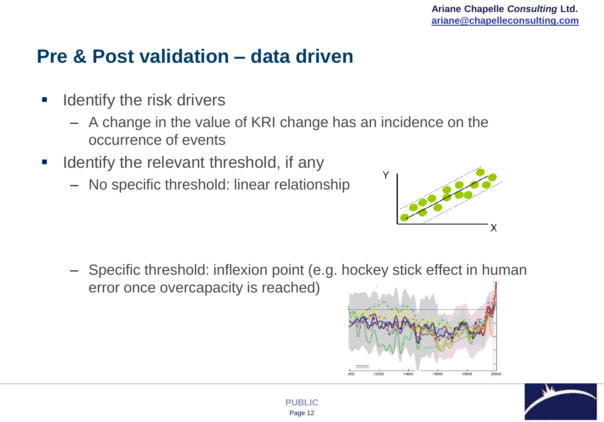# **Pre & Post validation – data driven**

- **If all intertal I** dentify the risk drivers
	- A change in the value of KRI change has an incidence on the occurrence of events
- **If identify the relevant threshold, if any** 
	- No specific threshold: linear relationship



– Specific threshold: inflexion point (e.g. hockey stick effect in human error once overcapacity is reached)



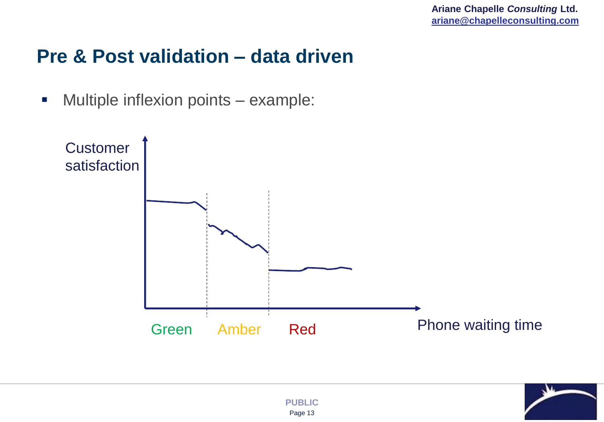### **Pre & Post validation – data driven**

**Multiple inflexion points – example:** 



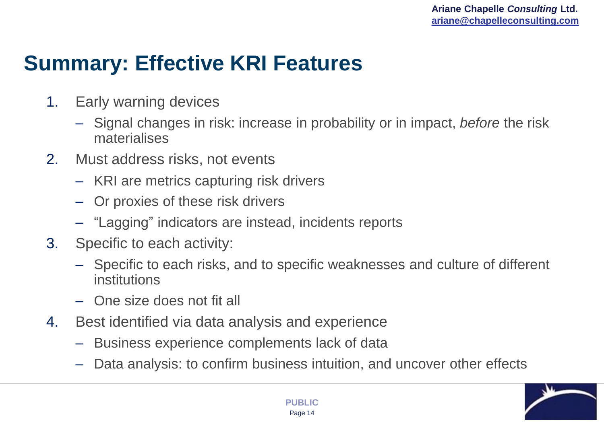# **Summary: Effective KRI Features**

- 1. Early warning devices
	- Signal changes in risk: increase in probability or in impact, *before* the risk materialises
- 2. Must address risks, not events
	- KRI are metrics capturing risk drivers
	- Or proxies of these risk drivers
	- "Lagging" indicators are instead, incidents reports
- 3. Specific to each activity:
	- Specific to each risks, and to specific weaknesses and culture of different institutions
	- One size does not fit all
- 4. Best identified via data analysis and experience
	- Business experience complements lack of data
	- Data analysis: to confirm business intuition, and uncover other effects